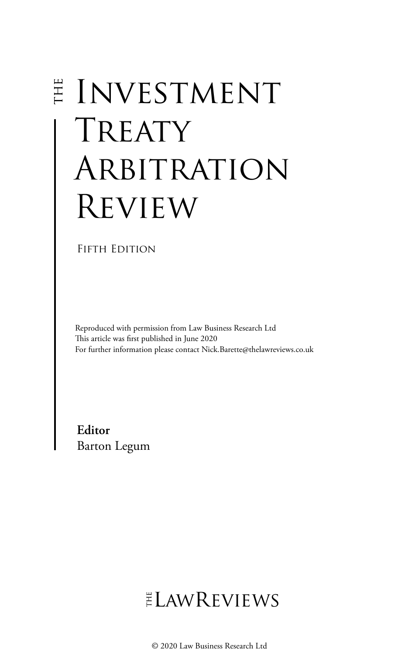# E INVESTMENT TREATY ARBITRATION Review

### FIFTH EDITION

Reproduced with permission from Law Business Research Ltd This article was first published in June 2020 For further information please contact Nick.Barette@thelawreviews.co.uk

**Editor** Barton Legum

ELAWREVIEWS

© 2020 Law Business Research Ltd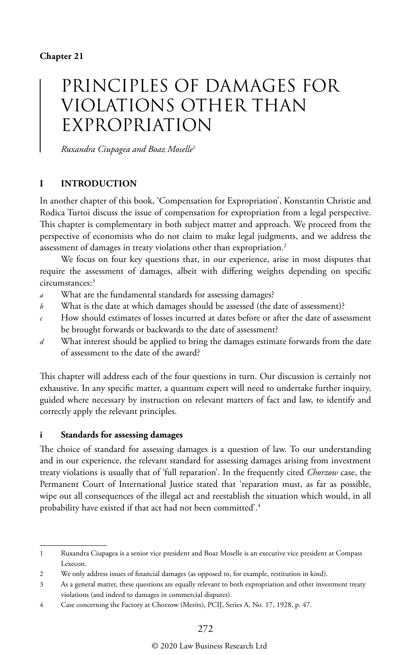## PRINCIPLES OF DAMAGES FOR VIOLATIONS OTHER THAN EXPROPRIATION

*Ruxandra Ciupagea and Boaz Moselle*<sup>1</sup>

#### **I INTRODUCTION**

In another chapter of this book, 'Compensation for Expropriation', Konstantin Christie and Rodica Turtoi discuss the issue of compensation for expropriation from a legal perspective. This chapter is complementary in both subject matter and approach. We proceed from the perspective of economists who do not claim to make legal judgments, and we address the assessment of damages in treaty violations other than expropriation.2

We focus on four key questions that, in our experience, arise in most disputes that require the assessment of damages, albeit with differing weights depending on specific circumstances:3

- *a* What are the fundamental standards for assessing damages?
- *b* What is the date at which damages should be assessed (the date of assessment)?
- *c* How should estimates of losses incurred at dates before or after the date of assessment be brought forwards or backwards to the date of assessment?
- *d* What interest should be applied to bring the damages estimate forwards from the date of assessment to the date of the award?

This chapter will address each of the four questions in turn. Our discussion is certainly not exhaustive. In any specific matter, a quantum expert will need to undertake further inquiry, guided where necessary by instruction on relevant matters of fact and law, to identify and correctly apply the relevant principles.

#### **i Standards for assessing damages**

The choice of standard for assessing damages is a question of law. To our understanding and in our experience, the relevant standard for assessing damages arising from investment treaty violations is usually that of 'full reparation'. In the frequently cited *Chorzow* case, the Permanent Court of International Justice stated that 'reparation must, as far as possible, wipe out all consequences of the illegal act and reestablish the situation which would, in all probability have existed if that act had not been committed'.4

<sup>1</sup> Ruxandra Ciupagea is a senior vice president and Boaz Moselle is an executive vice president at Compass Lexecon.

<sup>2</sup> We only address issues of financial damages (as opposed to, for example, restitution in kind).

<sup>3</sup> As a general matter, these questions are equally relevant to both expropriation and other investment treaty violations (and indeed to damages in commercial disputes).

<sup>4</sup> Case concerning the Factory at Chorzow (Merits), PCIJ, Series A, No. 17, 1928, p. 47.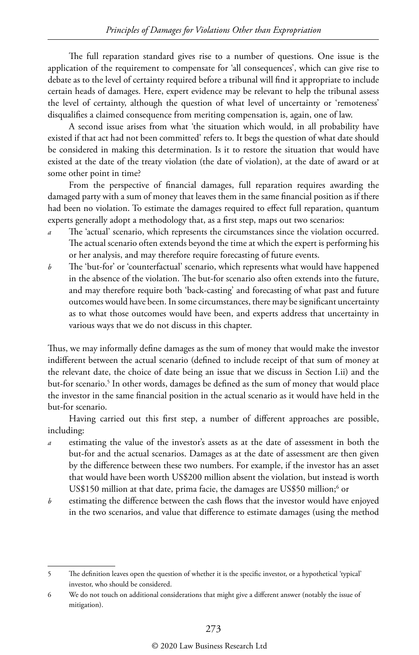The full reparation standard gives rise to a number of questions. One issue is the application of the requirement to compensate for 'all consequences', which can give rise to debate as to the level of certainty required before a tribunal will find it appropriate to include certain heads of damages. Here, expert evidence may be relevant to help the tribunal assess the level of certainty, although the question of what level of uncertainty or 'remoteness' disqualifies a claimed consequence from meriting compensation is, again, one of law.

A second issue arises from what 'the situation which would, in all probability have existed if that act had not been committed' refers to. It begs the question of what date should be considered in making this determination. Is it to restore the situation that would have existed at the date of the treaty violation (the date of violation), at the date of award or at some other point in time?

From the perspective of financial damages, full reparation requires awarding the damaged party with a sum of money that leaves them in the same financial position as if there had been no violation. To estimate the damages required to effect full reparation, quantum experts generally adopt a methodology that, as a first step, maps out two scenarios:

- The 'actual' scenario, which represents the circumstances since the violation occurred. The actual scenario often extends beyond the time at which the expert is performing his or her analysis, and may therefore require forecasting of future events.
- *b* The 'but-for' or 'counterfactual' scenario, which represents what would have happened in the absence of the violation. The but-for scenario also often extends into the future, and may therefore require both 'back-casting' and forecasting of what past and future outcomes would have been. In some circumstances, there may be significant uncertainty as to what those outcomes would have been, and experts address that uncertainty in various ways that we do not discuss in this chapter.

Thus, we may informally define damages as the sum of money that would make the investor indifferent between the actual scenario (defined to include receipt of that sum of money at the relevant date, the choice of date being an issue that we discuss in Section I.ii) and the but-for scenario.<sup>5</sup> In other words, damages be defined as the sum of money that would place the investor in the same financial position in the actual scenario as it would have held in the but-for scenario.

Having carried out this first step, a number of different approaches are possible, including:

- estimating the value of the investor's assets as at the date of assessment in both the but-for and the actual scenarios. Damages as at the date of assessment are then given by the difference between these two numbers. For example, if the investor has an asset that would have been worth US\$200 million absent the violation, but instead is worth US\$150 million at that date, prima facie, the damages are US\$50 million; $^6$  or
- *b* estimating the difference between the cash flows that the investor would have enjoyed in the two scenarios, and value that difference to estimate damages (using the method

#### © 2020 Law Business Research Ltd

<sup>5</sup> The definition leaves open the question of whether it is the specific investor, or a hypothetical 'typical' investor, who should be considered.

<sup>6</sup> We do not touch on additional considerations that might give a different answer (notably the issue of mitigation).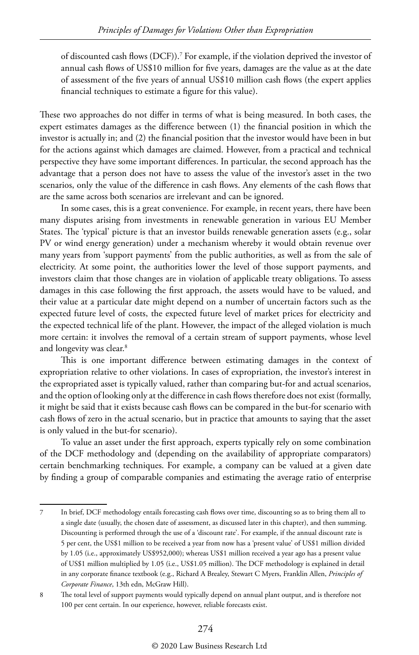of discounted cash flows (DCF)).7 For example, if the violation deprived the investor of annual cash flows of US\$10 million for five years, damages are the value as at the date of assessment of the five years of annual US\$10 million cash flows (the expert applies financial techniques to estimate a figure for this value).

These two approaches do not differ in terms of what is being measured. In both cases, the expert estimates damages as the difference between (1) the financial position in which the investor is actually in; and (2) the financial position that the investor would have been in but for the actions against which damages are claimed. However, from a practical and technical perspective they have some important differences. In particular, the second approach has the advantage that a person does not have to assess the value of the investor's asset in the two scenarios, only the value of the difference in cash flows. Any elements of the cash flows that are the same across both scenarios are irrelevant and can be ignored.

In some cases, this is a great convenience. For example, in recent years, there have been many disputes arising from investments in renewable generation in various EU Member States. The 'typical' picture is that an investor builds renewable generation assets (e.g., solar PV or wind energy generation) under a mechanism whereby it would obtain revenue over many years from 'support payments' from the public authorities, as well as from the sale of electricity. At some point, the authorities lower the level of those support payments, and investors claim that those changes are in violation of applicable treaty obligations. To assess damages in this case following the first approach, the assets would have to be valued, and their value at a particular date might depend on a number of uncertain factors such as the expected future level of costs, the expected future level of market prices for electricity and the expected technical life of the plant. However, the impact of the alleged violation is much more certain: it involves the removal of a certain stream of support payments, whose level and longevity was clear.8

This is one important difference between estimating damages in the context of expropriation relative to other violations. In cases of expropriation, the investor's interest in the expropriated asset is typically valued, rather than comparing but-for and actual scenarios, and the option of looking only at the difference in cash flows therefore does not exist (formally, it might be said that it exists because cash flows can be compared in the but-for scenario with cash flows of zero in the actual scenario, but in practice that amounts to saying that the asset is only valued in the but-for scenario).

To value an asset under the first approach, experts typically rely on some combination of the DCF methodology and (depending on the availability of appropriate comparators) certain benchmarking techniques. For example, a company can be valued at a given date by finding a group of comparable companies and estimating the average ratio of enterprise

<sup>7</sup> In brief, DCF methodology entails forecasting cash flows over time, discounting so as to bring them all to a single date (usually, the chosen date of assessment, as discussed later in this chapter), and then summing. Discounting is performed through the use of a 'discount rate'. For example, if the annual discount rate is 5 per cent, the US\$1 million to be received a year from now has a 'present value' of US\$1 million divided by 1.05 (i.e., approximately US\$952,000); whereas US\$1 million received a year ago has a present value of US\$1 million multiplied by 1.05 (i.e., US\$1.05 million). The DCF methodology is explained in detail in any corporate finance textbook (e.g., Richard A Brealey, Stewart C Myers, Franklin Allen, *Principles of Corporate Finance*, 13th edn, McGraw Hill).

<sup>8</sup> The total level of support payments would typically depend on annual plant output, and is therefore not 100 per cent certain. In our experience, however, reliable forecasts exist.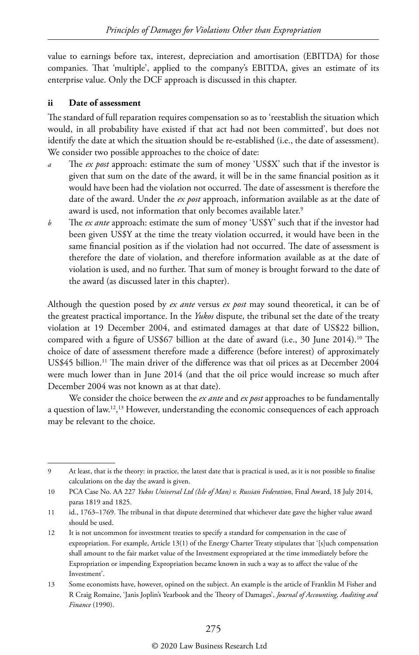value to earnings before tax, interest, depreciation and amortisation (EBITDA) for those companies. That 'multiple', applied to the company's EBITDA, gives an estimate of its enterprise value. Only the DCF approach is discussed in this chapter.

#### **ii Date of assessment**

The standard of full reparation requires compensation so as to 'reestablish the situation which would, in all probability have existed if that act had not been committed', but does not identify the date at which the situation should be re-established (i.e., the date of assessment). We consider two possible approaches to the choice of date:

- The *ex post* approach: estimate the sum of money 'US\$X' such that if the investor is given that sum on the date of the award, it will be in the same financial position as it would have been had the violation not occurred. The date of assessment is therefore the date of the award. Under the *ex post* approach, information available as at the date of award is used, not information that only becomes available later.<sup>9</sup>
- *b* The *ex ante* approach: estimate the sum of money 'US\$Y' such that if the investor had been given US\$Y at the time the treaty violation occurred, it would have been in the same financial position as if the violation had not occurred. The date of assessment is therefore the date of violation, and therefore information available as at the date of violation is used, and no further. That sum of money is brought forward to the date of the award (as discussed later in this chapter).

Although the question posed by *ex ante* versus *ex post* may sound theoretical, it can be of the greatest practical importance. In the *Yukos* dispute, the tribunal set the date of the treaty violation at 19 December 2004, and estimated damages at that date of US\$22 billion, compared with a figure of US\$67 billion at the date of award (i.e., 30 June 2014).10 The choice of date of assessment therefore made a difference (before interest) of approximately US\$45 billion.<sup>11</sup> The main driver of the difference was that oil prices as at December 2004 were much lower than in June 2014 (and that the oil price would increase so much after December 2004 was not known as at that date).

We consider the choice between the *ex ante* and *ex post* approaches to be fundamentally a question of law.12, 13 However, understanding the economic consequences of each approach may be relevant to the choice.

#### © 2020 Law Business Research Ltd

<sup>9</sup> At least, that is the theory: in practice, the latest date that is practical is used, as it is not possible to finalise calculations on the day the award is given.

<sup>10</sup> PCA Case No. AA 227 *Yukos Universal Ltd (Isle of Man) v. Russian Federation*, Final Award, 18 July 2014, paras 1819 and 1825.

<sup>11</sup> id., 1763–1769. The tribunal in that dispute determined that whichever date gave the higher value award should be used.

<sup>12</sup> It is not uncommon for investment treaties to specify a standard for compensation in the case of expropriation. For example, Article 13(1) of the Energy Charter Treaty stipulates that '[s]uch compensation shall amount to the fair market value of the Investment expropriated at the time immediately before the Expropriation or impending Expropriation became known in such a way as to affect the value of the Investment'.

<sup>13</sup> Some economists have, however, opined on the subject. An example is the article of Franklin M Fisher and R Craig Romaine, 'Janis Joplin's Yearbook and the Theory of Damages', *Journal of Accounting, Auditing and Finance* (1990).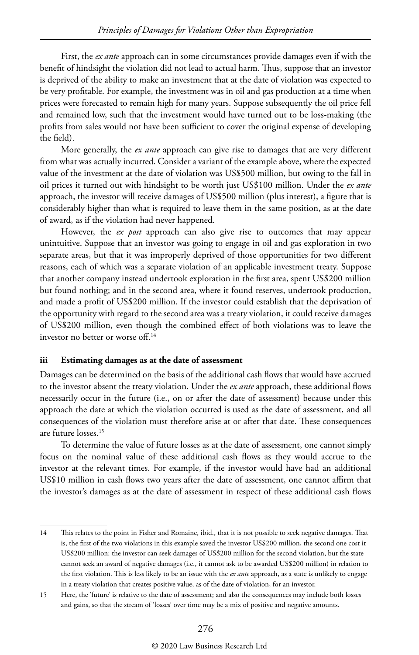First, the *ex ante* approach can in some circumstances provide damages even if with the benefit of hindsight the violation did not lead to actual harm. Thus, suppose that an investor is deprived of the ability to make an investment that at the date of violation was expected to be very profitable. For example, the investment was in oil and gas production at a time when prices were forecasted to remain high for many years. Suppose subsequently the oil price fell and remained low, such that the investment would have turned out to be loss-making (the profits from sales would not have been sufficient to cover the original expense of developing the field).

More generally, the *ex ante* approach can give rise to damages that are very different from what was actually incurred. Consider a variant of the example above, where the expected value of the investment at the date of violation was US\$500 million, but owing to the fall in oil prices it turned out with hindsight to be worth just US\$100 million. Under the *ex ante* approach, the investor will receive damages of US\$500 million (plus interest), a figure that is considerably higher than what is required to leave them in the same position, as at the date of award, as if the violation had never happened.

However, the *ex post* approach can also give rise to outcomes that may appear unintuitive. Suppose that an investor was going to engage in oil and gas exploration in two separate areas, but that it was improperly deprived of those opportunities for two different reasons, each of which was a separate violation of an applicable investment treaty. Suppose that another company instead undertook exploration in the first area, spent US\$200 million but found nothing; and in the second area, where it found reserves, undertook production, and made a profit of US\$200 million. If the investor could establish that the deprivation of the opportunity with regard to the second area was a treaty violation, it could receive damages of US\$200 million, even though the combined effect of both violations was to leave the investor no better or worse off.14

#### **iii Estimating damages as at the date of assessment**

Damages can be determined on the basis of the additional cash flows that would have accrued to the investor absent the treaty violation. Under the *ex ante* approach, these additional flows necessarily occur in the future (i.e., on or after the date of assessment) because under this approach the date at which the violation occurred is used as the date of assessment, and all consequences of the violation must therefore arise at or after that date. These consequences are future losses.15

To determine the value of future losses as at the date of assessment, one cannot simply focus on the nominal value of these additional cash flows as they would accrue to the investor at the relevant times. For example, if the investor would have had an additional US\$10 million in cash flows two years after the date of assessment, one cannot affirm that the investor's damages as at the date of assessment in respect of these additional cash flows

<sup>14</sup> This relates to the point in Fisher and Romaine, ibid., that it is not possible to seek negative damages. That is, the first of the two violations in this example saved the investor US\$200 million, the second one cost it US\$200 million: the investor can seek damages of US\$200 million for the second violation, but the state cannot seek an award of negative damages (i.e., it cannot ask to be awarded US\$200 million) in relation to the first violation. This is less likely to be an issue with the *ex ante* approach, as a state is unlikely to engage in a treaty violation that creates positive value, as of the date of violation, for an investor.

<sup>15</sup> Here, the 'future' is relative to the date of assessment; and also the consequences may include both losses and gains, so that the stream of 'losses' over time may be a mix of positive and negative amounts.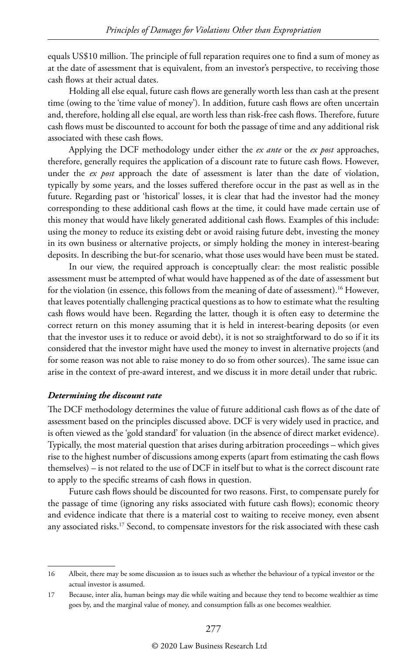equals US\$10 million. The principle of full reparation requires one to find a sum of money as at the date of assessment that is equivalent, from an investor's perspective, to receiving those cash flows at their actual dates.

Holding all else equal, future cash flows are generally worth less than cash at the present time (owing to the 'time value of money'). In addition, future cash flows are often uncertain and, therefore, holding all else equal, are worth less than risk-free cash flows. Therefore, future cash flows must be discounted to account for both the passage of time and any additional risk associated with these cash flows.

Applying the DCF methodology under either the *ex ante* or the *ex post* approaches, therefore, generally requires the application of a discount rate to future cash flows. However, under the *ex post* approach the date of assessment is later than the date of violation, typically by some years, and the losses suffered therefore occur in the past as well as in the future. Regarding past or 'historical' losses, it is clear that had the investor had the money corresponding to these additional cash flows at the time, it could have made certain use of this money that would have likely generated additional cash flows. Examples of this include: using the money to reduce its existing debt or avoid raising future debt, investing the money in its own business or alternative projects, or simply holding the money in interest-bearing deposits. In describing the but-for scenario, what those uses would have been must be stated.

In our view, the required approach is conceptually clear: the most realistic possible assessment must be attempted of what would have happened as of the date of assessment but for the violation (in essence, this follows from the meaning of date of assessment).<sup>16</sup> However, that leaves potentially challenging practical questions as to how to estimate what the resulting cash flows would have been. Regarding the latter, though it is often easy to determine the correct return on this money assuming that it is held in interest-bearing deposits (or even that the investor uses it to reduce or avoid debt), it is not so straightforward to do so if it its considered that the investor might have used the money to invest in alternative projects (and for some reason was not able to raise money to do so from other sources). The same issue can arise in the context of pre-award interest, and we discuss it in more detail under that rubric.

#### *Determining the discount rate*

The DCF methodology determines the value of future additional cash flows as of the date of assessment based on the principles discussed above. DCF is very widely used in practice, and is often viewed as the 'gold standard' for valuation (in the absence of direct market evidence). Typically, the most material question that arises during arbitration proceedings – which gives rise to the highest number of discussions among experts (apart from estimating the cash flows themselves) – is not related to the use of DCF in itself but to what is the correct discount rate to apply to the specific streams of cash flows in question.

Future cash flows should be discounted for two reasons. First, to compensate purely for the passage of time (ignoring any risks associated with future cash flows); economic theory and evidence indicate that there is a material cost to waiting to receive money, even absent any associated risks.<sup>17</sup> Second, to compensate investors for the risk associated with these cash

<sup>16</sup> Albeit, there may be some discussion as to issues such as whether the behaviour of a typical investor or the actual investor is assumed.

<sup>17</sup> Because, inter alia, human beings may die while waiting and because they tend to become wealthier as time goes by, and the marginal value of money, and consumption falls as one becomes wealthier.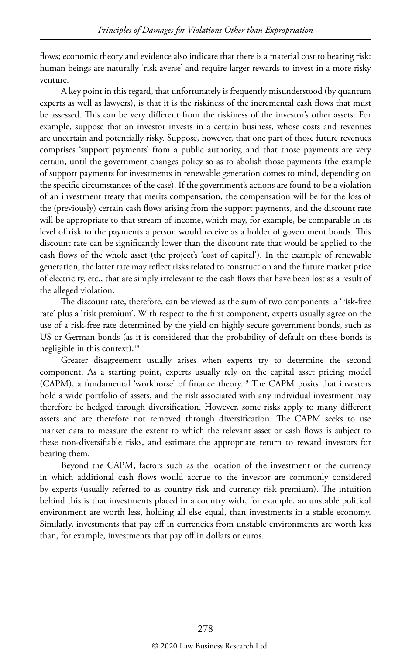flows; economic theory and evidence also indicate that there is a material cost to bearing risk: human beings are naturally 'risk averse' and require larger rewards to invest in a more risky venture.

A key point in this regard, that unfortunately is frequently misunderstood (by quantum experts as well as lawyers), is that it is the riskiness of the incremental cash flows that must be assessed. This can be very different from the riskiness of the investor's other assets. For example, suppose that an investor invests in a certain business, whose costs and revenues are uncertain and potentially risky. Suppose, however, that one part of those future revenues comprises 'support payments' from a public authority, and that those payments are very certain, until the government changes policy so as to abolish those payments (the example of support payments for investments in renewable generation comes to mind, depending on the specific circumstances of the case). If the government's actions are found to be a violation of an investment treaty that merits compensation, the compensation will be for the loss of the (previously) certain cash flows arising from the support payments, and the discount rate will be appropriate to that stream of income, which may, for example, be comparable in its level of risk to the payments a person would receive as a holder of government bonds. This discount rate can be significantly lower than the discount rate that would be applied to the cash flows of the whole asset (the project's 'cost of capital'). In the example of renewable generation, the latter rate may reflect risks related to construction and the future market price of electricity, etc., that are simply irrelevant to the cash flows that have been lost as a result of the alleged violation.

The discount rate, therefore, can be viewed as the sum of two components: a 'risk-free rate' plus a 'risk premium'. With respect to the first component, experts usually agree on the use of a risk-free rate determined by the yield on highly secure government bonds, such as US or German bonds (as it is considered that the probability of default on these bonds is negligible in this context).18

Greater disagreement usually arises when experts try to determine the second component. As a starting point, experts usually rely on the capital asset pricing model (CAPM), a fundamental 'workhorse' of finance theory.19 The CAPM posits that investors hold a wide portfolio of assets, and the risk associated with any individual investment may therefore be hedged through diversification. However, some risks apply to many different assets and are therefore not removed through diversification. The CAPM seeks to use market data to measure the extent to which the relevant asset or cash flows is subject to these non-diversifiable risks, and estimate the appropriate return to reward investors for bearing them.

Beyond the CAPM, factors such as the location of the investment or the currency in which additional cash flows would accrue to the investor are commonly considered by experts (usually referred to as country risk and currency risk premium). The intuition behind this is that investments placed in a country with, for example, an unstable political environment are worth less, holding all else equal, than investments in a stable economy. Similarly, investments that pay off in currencies from unstable environments are worth less than, for example, investments that pay off in dollars or euros.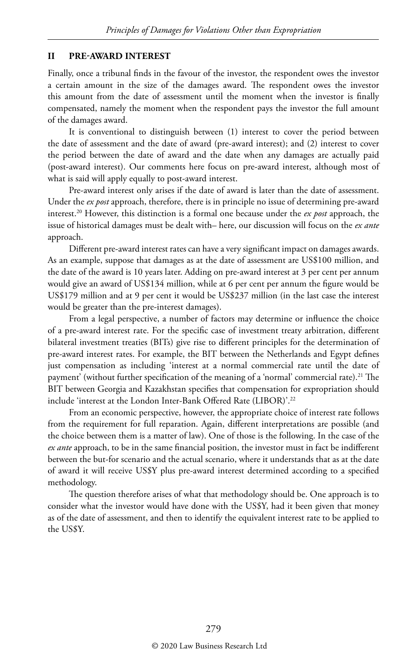#### **II PRE-AWARD INTEREST**

Finally, once a tribunal finds in the favour of the investor, the respondent owes the investor a certain amount in the size of the damages award. The respondent owes the investor this amount from the date of assessment until the moment when the investor is finally compensated, namely the moment when the respondent pays the investor the full amount of the damages award.

It is conventional to distinguish between (1) interest to cover the period between the date of assessment and the date of award (pre-award interest); and (2) interest to cover the period between the date of award and the date when any damages are actually paid (post-award interest). Our comments here focus on pre-award interest, although most of what is said will apply equally to post-award interest.

Pre-award interest only arises if the date of award is later than the date of assessment. Under the *ex post* approach, therefore, there is in principle no issue of determining pre-award interest.20 However, this distinction is a formal one because under the *ex post* approach, the issue of historical damages must be dealt with– here, our discussion will focus on the *ex ante* approach.

Different pre-award interest rates can have a very significant impact on damages awards. As an example, suppose that damages as at the date of assessment are US\$100 million, and the date of the award is 10 years later. Adding on pre-award interest at 3 per cent per annum would give an award of US\$134 million, while at 6 per cent per annum the figure would be US\$179 million and at 9 per cent it would be US\$237 million (in the last case the interest would be greater than the pre-interest damages).

From a legal perspective, a number of factors may determine or influence the choice of a pre-award interest rate. For the specific case of investment treaty arbitration, different bilateral investment treaties (BITs) give rise to different principles for the determination of pre-award interest rates. For example, the BIT between the Netherlands and Egypt defines just compensation as including 'interest at a normal commercial rate until the date of payment' (without further specification of the meaning of a 'normal' commercial rate).<sup>21</sup> The BIT between Georgia and Kazakhstan specifies that compensation for expropriation should include 'interest at the London Inter-Bank Offered Rate (LIBOR)'.22

From an economic perspective, however, the appropriate choice of interest rate follows from the requirement for full reparation. Again, different interpretations are possible (and the choice between them is a matter of law). One of those is the following. In the case of the *ex ante* approach, to be in the same financial position, the investor must in fact be indifferent between the but-for scenario and the actual scenario, where it understands that as at the date of award it will receive US\$Y plus pre-award interest determined according to a specified methodology.

The question therefore arises of what that methodology should be. One approach is to consider what the investor would have done with the US\$Y, had it been given that money as of the date of assessment, and then to identify the equivalent interest rate to be applied to the US\$Y.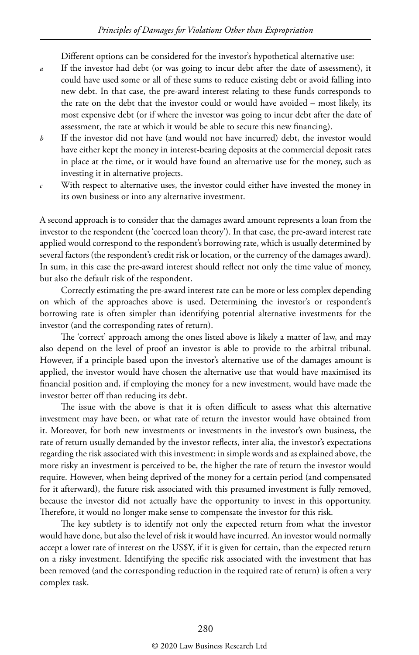Different options can be considered for the investor's hypothetical alternative use:

- *a* If the investor had debt (or was going to incur debt after the date of assessment), it could have used some or all of these sums to reduce existing debt or avoid falling into new debt. In that case, the pre-award interest relating to these funds corresponds to the rate on the debt that the investor could or would have avoided – most likely, its most expensive debt (or if where the investor was going to incur debt after the date of assessment, the rate at which it would be able to secure this new financing).
- *b* If the investor did not have (and would not have incurred) debt, the investor would have either kept the money in interest-bearing deposits at the commercial deposit rates in place at the time, or it would have found an alternative use for the money, such as investing it in alternative projects.
- *c* With respect to alternative uses, the investor could either have invested the money in its own business or into any alternative investment.

A second approach is to consider that the damages award amount represents a loan from the investor to the respondent (the 'coerced loan theory'). In that case, the pre-award interest rate applied would correspond to the respondent's borrowing rate, which is usually determined by several factors (the respondent's credit risk or location, or the currency of the damages award). In sum, in this case the pre-award interest should reflect not only the time value of money, but also the default risk of the respondent.

Correctly estimating the pre-award interest rate can be more or less complex depending on which of the approaches above is used. Determining the investor's or respondent's borrowing rate is often simpler than identifying potential alternative investments for the investor (and the corresponding rates of return).

The 'correct' approach among the ones listed above is likely a matter of law, and may also depend on the level of proof an investor is able to provide to the arbitral tribunal. However, if a principle based upon the investor's alternative use of the damages amount is applied, the investor would have chosen the alternative use that would have maximised its financial position and, if employing the money for a new investment, would have made the investor better off than reducing its debt.

The issue with the above is that it is often difficult to assess what this alternative investment may have been, or what rate of return the investor would have obtained from it. Moreover, for both new investments or investments in the investor's own business, the rate of return usually demanded by the investor reflects, inter alia, the investor's expectations regarding the risk associated with this investment: in simple words and as explained above, the more risky an investment is perceived to be, the higher the rate of return the investor would require. However, when being deprived of the money for a certain period (and compensated for it afterward), the future risk associated with this presumed investment is fully removed, because the investor did not actually have the opportunity to invest in this opportunity. Therefore, it would no longer make sense to compensate the investor for this risk.

The key subtlety is to identify not only the expected return from what the investor would have done, but also the level of risk it would have incurred. An investor would normally accept a lower rate of interest on the US\$Y, if it is given for certain, than the expected return on a risky investment. Identifying the specific risk associated with the investment that has been removed (and the corresponding reduction in the required rate of return) is often a very complex task.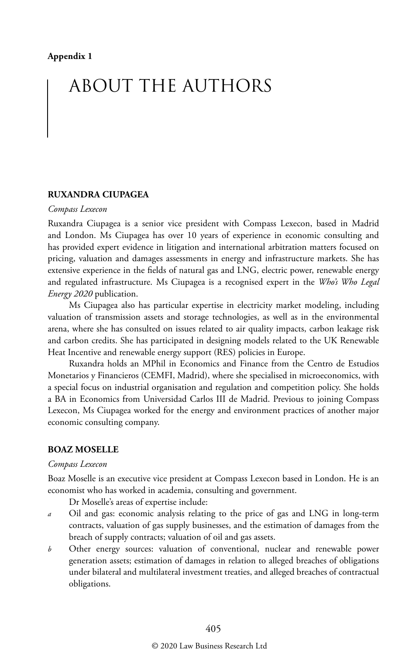## ABOUT THE AUTHORS

#### **RUXANDRA CIUPAGEA**

#### *Compass Lexecon*

Ruxandra Ciupagea is a senior vice president with Compass Lexecon, based in Madrid and London. Ms Ciupagea has over 10 years of experience in economic consulting and has provided expert evidence in litigation and international arbitration matters focused on pricing, valuation and damages assessments in energy and infrastructure markets. She has extensive experience in the fields of natural gas and LNG, electric power, renewable energy and regulated infrastructure. Ms Ciupagea is a recognised expert in the *Who's Who Legal Energy 2020* publication.

Ms Ciupagea also has particular expertise in electricity market modeling, including valuation of transmission assets and storage technologies, as well as in the environmental arena, where she has consulted on issues related to air quality impacts, carbon leakage risk and carbon credits. She has participated in designing models related to the UK Renewable Heat Incentive and renewable energy support (RES) policies in Europe.

Ruxandra holds an MPhil in Economics and Finance from the Centro de Estudios Monetarios y Financieros (CEMFI, Madrid), where she specialised in microeconomics, with a special focus on industrial organisation and regulation and competition policy. She holds a BA in Economics from Universidad Carlos III de Madrid. Previous to joining Compass Lexecon, Ms Ciupagea worked for the energy and environment practices of another major economic consulting company.

#### **BOAZ MOSELLE**

#### *Compass Lexecon*

Boaz Moselle is an executive vice president at Compass Lexecon based in London. He is an economist who has worked in academia, consulting and government.

Dr Moselle's areas of expertise include:

- *a* Oil and gas: economic analysis relating to the price of gas and LNG in long-term contracts, valuation of gas supply businesses, and the estimation of damages from the breach of supply contracts; valuation of oil and gas assets.
- *b* Other energy sources: valuation of conventional, nuclear and renewable power generation assets; estimation of damages in relation to alleged breaches of obligations under bilateral and multilateral investment treaties, and alleged breaches of contractual obligations.